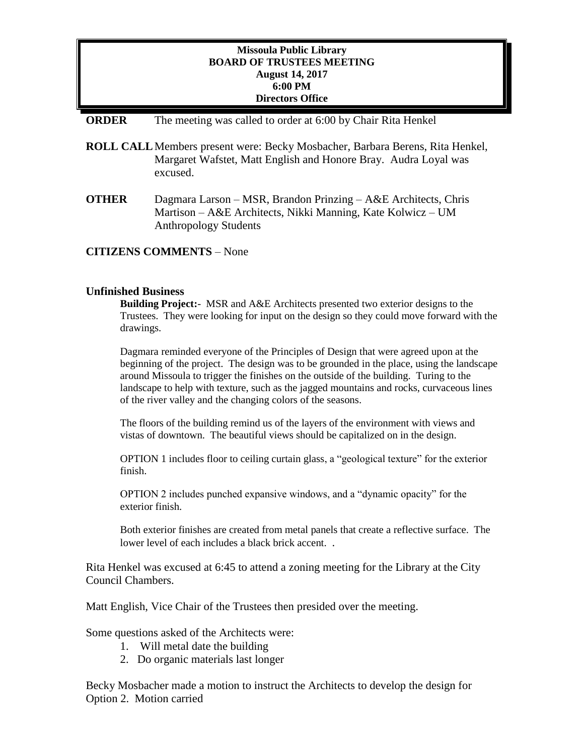# **Missoula Public Library BOARD OF TRUSTEES MEETING August 14, 2017 6:00 PM Directors Office**

### **ORDER** The meeting was called to order at 6:00 by Chair Rita Henkel

- **ROLL CALL**Members present were: Becky Mosbacher, Barbara Berens, Rita Henkel, Margaret Wafstet, Matt English and Honore Bray. Audra Loyal was excused.
- **OTHER** Dagmara Larson MSR, Brandon Prinzing A&E Architects, Chris Martison – A&E Architects, Nikki Manning, Kate Kolwicz – UM Anthropology Students

### **CITIZENS COMMENTS** – None

## **Unfinished Business**

**Building Project:**- MSR and A&E Architects presented two exterior designs to the Trustees. They were looking for input on the design so they could move forward with the drawings.

Dagmara reminded everyone of the Principles of Design that were agreed upon at the beginning of the project. The design was to be grounded in the place, using the landscape around Missoula to trigger the finishes on the outside of the building. Turing to the landscape to help with texture, such as the jagged mountains and rocks, curvaceous lines of the river valley and the changing colors of the seasons.

The floors of the building remind us of the layers of the environment with views and vistas of downtown. The beautiful views should be capitalized on in the design.

OPTION 1 includes floor to ceiling curtain glass, a "geological texture" for the exterior finish.

OPTION 2 includes punched expansive windows, and a "dynamic opacity" for the exterior finish.

Both exterior finishes are created from metal panels that create a reflective surface. The lower level of each includes a black brick accent. .

Rita Henkel was excused at 6:45 to attend a zoning meeting for the Library at the City Council Chambers.

Matt English, Vice Chair of the Trustees then presided over the meeting.

Some questions asked of the Architects were:

- 1. Will metal date the building
- 2. Do organic materials last longer

Becky Mosbacher made a motion to instruct the Architects to develop the design for Option 2. Motion carried